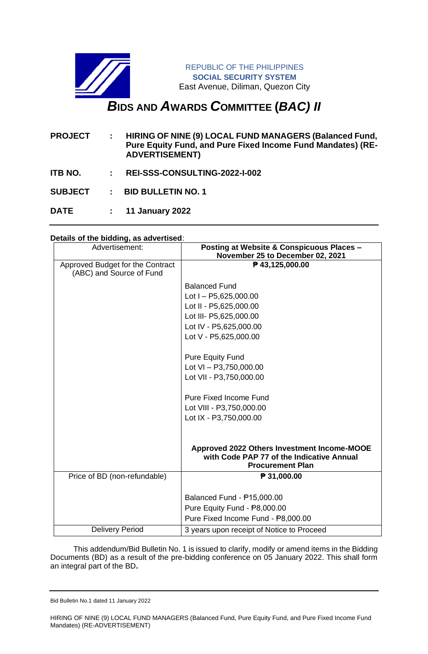

**DATE : 11 January 2022**

# **Details of the bidding, as advertised**:

| Advertisement:                                               | Posting at Website & Conspicuous Places -<br>November 25 to December 02, 2021            |
|--------------------------------------------------------------|------------------------------------------------------------------------------------------|
| Approved Budget for the Contract<br>(ABC) and Source of Fund | ₱ 43,125,000.00                                                                          |
|                                                              | <b>Balanced Fund</b>                                                                     |
|                                                              | Lot $I - P5,625,000.00$                                                                  |
|                                                              | Lot II - P5,625,000.00                                                                   |
|                                                              | Lot III- P5,625,000.00                                                                   |
|                                                              | Lot IV - P5,625,000.00                                                                   |
|                                                              | Lot V - P5,625,000.00                                                                    |
|                                                              | <b>Pure Equity Fund</b>                                                                  |
|                                                              | Lot VI - P3,750,000.00                                                                   |
|                                                              | Lot VII - P3,750,000.00                                                                  |
|                                                              | <b>Pure Fixed Income Fund</b>                                                            |
|                                                              | Lot VIII - P3,750,000.00                                                                 |
|                                                              | Lot IX - P3,750,000.00                                                                   |
|                                                              |                                                                                          |
|                                                              | Approved 2022 Others Investment Income-MOOE<br>with Code PAP 77 of the Indicative Annual |
|                                                              | <b>Procurement Plan</b>                                                                  |
| Price of BD (non-refundable)                                 | ₱ 31,000.00                                                                              |
|                                                              | Balanced Fund - P15,000.00                                                               |
|                                                              | Pure Equity Fund - P8,000.00                                                             |
|                                                              | Pure Fixed Income Fund - P8,000.00                                                       |
| <b>Delivery Period</b>                                       | 3 years upon receipt of Notice to Proceed                                                |
|                                                              |                                                                                          |

 This addendum/Bid Bulletin No. 1 is issued to clarify, modify or amend items in the Bidding Documents (BD) as a result of the pre-bidding conference on 05 January 2022. This shall form an integral part of the BD**.**

Bid Bulletin No.1 dated 11 January 2022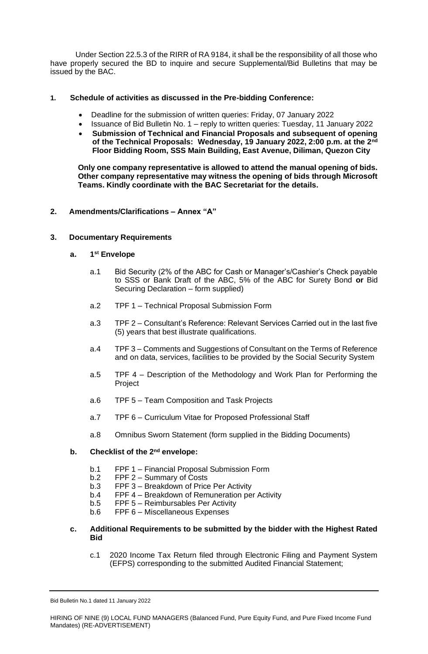Under Section 22.5.3 of the RIRR of RA 9184, it shall be the responsibility of all those who have properly secured the BD to inquire and secure Supplemental/Bid Bulletins that may be issued by the BAC.

#### **1. Schedule of activities as discussed in the Pre-bidding Conference:**

- Deadline for the submission of written queries: Friday, 07 January 2022
- Issuance of Bid Bulletin No. 1 reply to written queries: Tuesday, 11 January 2022
- **Submission of Technical and Financial Proposals and subsequent of opening of the Technical Proposals: Wednesday, 19 January 2022, 2:00 p.m. at the 2nd Floor Bidding Room, SSS Main Building, East Avenue, Diliman, Quezon City**

**Only one company representative is allowed to attend the manual opening of bids. Other company representative may witness the opening of bids through Microsoft Teams. Kindly coordinate with the BAC Secretariat for the details.**

# **2. Amendments/Clarifications – Annex "A"**

# **3. Documentary Requirements**

#### **a. 1 st Envelope**

- a.1 Bid Security (2% of the ABC for Cash or Manager's/Cashier's Check payable to SSS or Bank Draft of the ABC, 5% of the ABC for Surety Bond **or** Bid Securing Declaration – form supplied)
- a.2 TPF 1 Technical Proposal Submission Form
- a.3 TPF 2 Consultant's Reference: Relevant Services Carried out in the last five (5) years that best illustrate qualifications.
- a.4 TPF 3 Comments and Suggestions of Consultant on the Terms of Reference and on data, services, facilities to be provided by the Social Security System
- a.5 TPF 4 Description of the Methodology and Work Plan for Performing the Project
- a.6 TPF 5 Team Composition and Task Projects
- a.7 TPF 6 Curriculum Vitae for Proposed Professional Staff
- a.8 Omnibus Sworn Statement (form supplied in the Bidding Documents)

#### **b. Checklist of the 2nd envelope:**

- b.1 FPF 1 Financial Proposal Submission Form
- b.2 FPF 2 Summary of Costs
- b.3 FPF 3 Breakdown of Price Per Activity
- b.4 FPF 4 Breakdown of Remuneration per Activity
- b.5 FPF 5 Reimbursables Per Activity
- b.6 FPF 6 Miscellaneous Expenses

# **c. Additional Requirements to be submitted by the bidder with the Highest Rated Bid**

c.1 2020 Income Tax Return filed through Electronic Filing and Payment System (EFPS) corresponding to the submitted Audited Financial Statement;

Bid Bulletin No.1 dated 11 January 2022